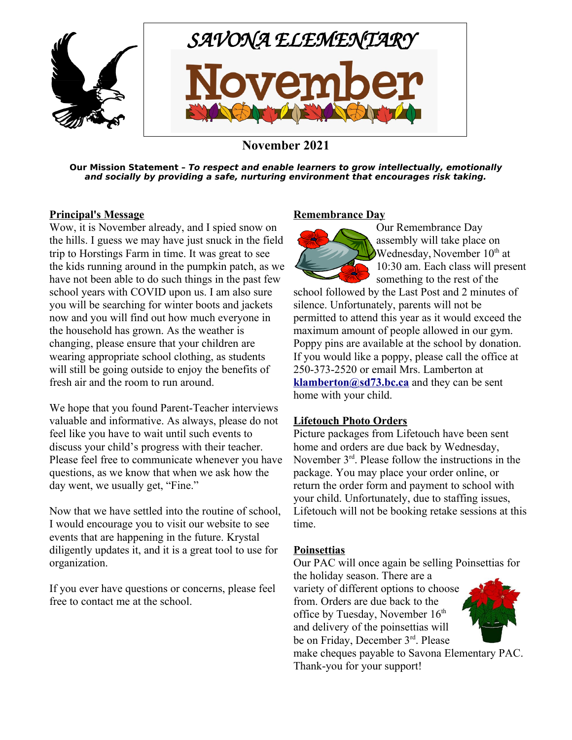

## **November 2021**

**Our Mission Statement – To respect and enable learners to grow intellectually, emotionally and socially by providing a safe, nurturing environment that encourages risk taking.**

#### **Principal's Message**

Wow, it is November already, and I spied snow on the hills. I guess we may have just snuck in the field trip to Horstings Farm in time. It was great to see the kids running around in the pumpkin patch, as we have not been able to do such things in the past few school years with COVID upon us. I am also sure you will be searching for winter boots and jackets now and you will find out how much everyone in the household has grown. As the weather is changing, please ensure that your children are wearing appropriate school clothing, as students will still be going outside to enjoy the benefits of fresh air and the room to run around.

We hope that you found Parent-Teacher interviews valuable and informative. As always, please do not feel like you have to wait until such events to discuss your child's progress with their teacher. Please feel free to communicate whenever you have questions, as we know that when we ask how the day went, we usually get, "Fine."

Now that we have settled into the routine of school, I would encourage you to visit our website to see events that are happening in the future. Krystal diligently updates it, and it is a great tool to use for organization.

If you ever have questions or concerns, please feel free to contact me at the school.

#### **Remembrance Day**



Our Remembrance Day assembly will take place on Wednesday, November 10<sup>th</sup> at 10:30 am. Each class will present something to the rest of the

school followed by the Last Post and 2 minutes of silence. Unfortunately, parents will not be permitted to attend this year as it would exceed the maximum amount of people allowed in our gym. Poppy pins are available at the school by donation. If you would like a poppy, please call the office at 250-373-2520 or email Mrs. Lamberton at **[klamberton@sd73.bc.ca](mailto:klamberton@sd73.bc.ca)** and they can be sent home with your child.

#### **Lifetouch Photo Orders**

Picture packages from Lifetouch have been sent home and orders are due back by Wednesday, November 3rd. Please follow the instructions in the package. You may place your order online, or return the order form and payment to school with your child. Unfortunately, due to staffing issues, Lifetouch will not be booking retake sessions at this time.

#### **Poinsettias**

Our PAC will once again be selling Poinsettias for

the holiday season. There are a variety of different options to choose from. Orders are due back to the office by Tuesday, November  $16<sup>th</sup>$ and delivery of the poinsettias will be on Friday, December 3<sup>rd</sup>. Please

make cheques payable to Savona Elementary PAC. Thank-you for your support!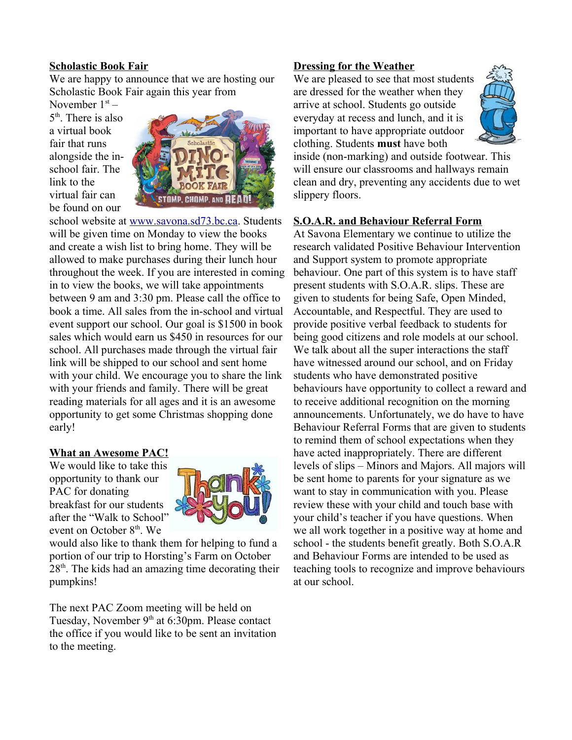#### **Scholastic Book Fair**

We are happy to announce that we are hosting our Scholastic Book Fair again this year from

November  $1<sup>st</sup>$  – 5<sup>th</sup>. There is also a virtual book fair that runs alongside the inschool fair. The link to the virtual fair can be found on our



school website at [www.savona.sd73.bc.ca](http://www.savona.sd73.bc.ca/). Students will be given time on Monday to view the books and create a wish list to bring home. They will be allowed to make purchases during their lunch hour throughout the week. If you are interested in coming in to view the books, we will take appointments between 9 am and 3:30 pm. Please call the office to book a time. All sales from the in-school and virtual event support our school. Our goal is \$1500 in book sales which would earn us \$450 in resources for our school. All purchases made through the virtual fair link will be shipped to our school and sent home with your child. We encourage you to share the link with your friends and family. There will be great reading materials for all ages and it is an awesome opportunity to get some Christmas shopping done early!

## **What an Awesome PAC!**

We would like to take this opportunity to thank our PAC for donating breakfast for our students after the "Walk to School" event on October  $8<sup>th</sup>$ . We



would also like to thank them for helping to fund a portion of our trip to Horsting's Farm on October  $28<sup>th</sup>$ . The kids had an amazing time decorating their pumpkins!

The next PAC Zoom meeting will be held on Tuesday, November 9<sup>th</sup> at 6:30pm. Please contact the office if you would like to be sent an invitation to the meeting.

## **Dressing for the Weather**

We are pleased to see that most students are dressed for the weather when they arrive at school. Students go outside everyday at recess and lunch, and it is important to have appropriate outdoor clothing. Students **must** have both



inside (non-marking) and outside footwear. This will ensure our classrooms and hallways remain clean and dry, preventing any accidents due to wet slippery floors.

## **S.O.A.R. and Behaviour Referral Form**

At Savona Elementary we continue to utilize the research validated Positive Behaviour Intervention and Support system to promote appropriate behaviour. One part of this system is to have staff present students with S.O.A.R. slips. These are given to students for being Safe, Open Minded, Accountable, and Respectful. They are used to provide positive verbal feedback to students for being good citizens and role models at our school. We talk about all the super interactions the staff have witnessed around our school, and on Friday students who have demonstrated positive behaviours have opportunity to collect a reward and to receive additional recognition on the morning announcements. Unfortunately, we do have to have Behaviour Referral Forms that are given to students to remind them of school expectations when they have acted inappropriately. There are different levels of slips – Minors and Majors. All majors will be sent home to parents for your signature as we want to stay in communication with you. Please review these with your child and touch base with your child's teacher if you have questions. When we all work together in a positive way at home and school - the students benefit greatly. Both S.O.A.R and Behaviour Forms are intended to be used as teaching tools to recognize and improve behaviours at our school.